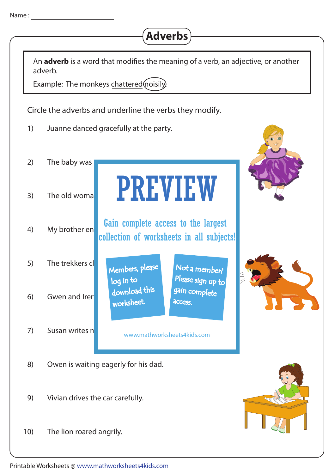